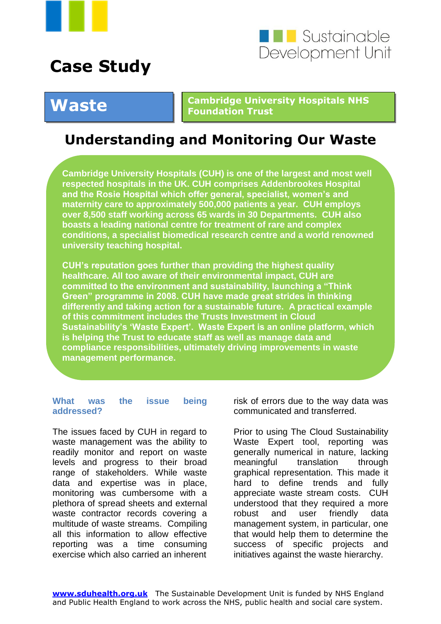



# **Case Study**

#### **Waste Cambridge University Hospitals NHS Foundation Trust**

## **Understanding and Monitoring Our Waste**

**Cambridge University Hospitals (CUH) is one of the largest and most well respected hospitals in the UK. CUH comprises Addenbrookes Hospital and the Rosie Hospital which offer general, specialist, women's and maternity care to approximately 500,000 patients a year. CUH employs over 8,500 staff working across 65 wards in 30 Departments. CUH also boasts a leading national centre for treatment of rare and complex conditions, a specialist biomedical research centre and a world renowned university teaching hospital.** 

**CUH's reputation goes further than providing the highest quality healthcare. All too aware of their environmental impact, CUH are committed to the environment and sustainability, launching a "Think Green" programme in 2008. CUH have made great strides in thinking differently and taking action for a sustainable future. A practical example of this commitment includes the Trusts Investment in Cloud Sustainability's 'Waste Expert'. Waste Expert is an online platform, which is helping the Trust to educate staff as well as manage data and compliance responsibilities, ultimately driving improvements in waste management performance.**

#### **What was the issue being addressed?**

The issues faced by CUH in regard to waste management was the ability to readily monitor and report on waste levels and progress to their broad range of stakeholders. While waste data and expertise was in place, monitoring was cumbersome with a plethora of spread sheets and external waste contractor records covering a multitude of waste streams. Compiling all this information to allow effective reporting was a time consuming exercise which also carried an inherent

risk of errors due to the way data was communicated and transferred.

Prior to using The Cloud Sustainability Waste Expert tool, reporting was generally numerical in nature, lacking meaningful translation through graphical representation. This made it hard to define trends and fully appreciate waste stream costs. CUH understood that they required a more robust and user friendly data management system, in particular, one that would help them to determine the success of specific projects and initiatives against the waste hierarchy.